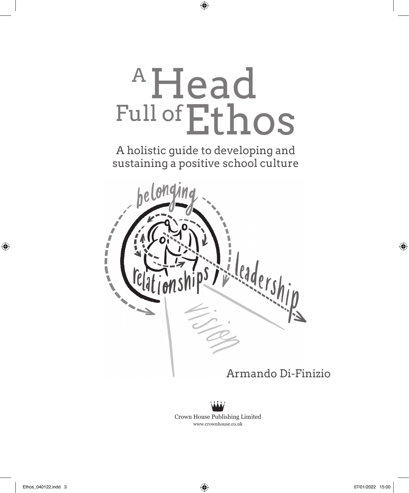# Full of Ethos <sup>A</sup>Head

A holistic guide to developing and sustaining a positive school culture





Crown House Publishing Limited www.crownhouse.co.uk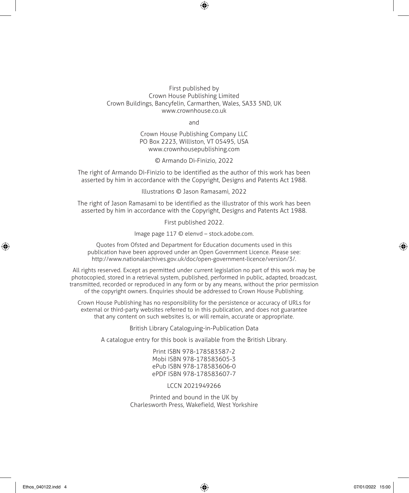#### First published by Crown House Publishing Limited Crown Buildings, Bancyfelin, Carmarthen, Wales, SA33 5ND, UK www.crownhouse.co.uk

and

Crown House Publishing Company LLC PO Box 2223, Williston, VT 05495, USA www.crownhousepublishing.com

© Armando Di-Finizio, 2022

The right of Armando Di-Finizio to be identified as the author of this work has been asserted by him in accordance with the Copyright, Designs and Patents Act 1988.

Illustrations © Jason Ramasami, 2022

The right of Jason Ramasami to be identified as the illustrator of this work has been asserted by him in accordance with the Copyright, Designs and Patents Act 1988.

First published 2022.

Image page 117 © elenvd – stock.adobe.com.

Quotes from Ofsted and Department for Education documents used in this publication have been approved under an Open Government Licence. Please see: http://www.nationalarchives.gov.uk/doc/open-government-licence/version/3/.

All rights reserved. Except as permitted under current legislation no part of this work may be photocopied, stored in a retrieval system, published, performed in public, adapted, broadcast, transmitted, recorded or reproduced in any form or by any means, without the prior permission of the copyright owners. Enquiries should be addressed to Crown House Publishing.

Crown House Publishing has no responsibility for the persistence or accuracy of URLs for external or third-party websites referred to in this publication, and does not guarantee that any content on such websites is, or will remain, accurate or appropriate.

British Library Cataloguing-in-Publication Data

A catalogue entry for this book is available from the British Library.

Print ISBN 978-178583587-2 Mobi ISBN 978-178583605-3 ePub ISBN 978-178583606-0 ePDF ISBN 978-178583607-7

LCCN 2021949266

Printed and bound in the UK by Charlesworth Press, Wakefield, West Yorkshire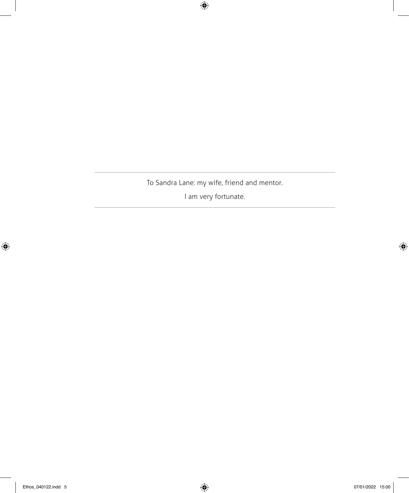To Sandra Lane: my wife, friend and mentor.

I am very fortunate.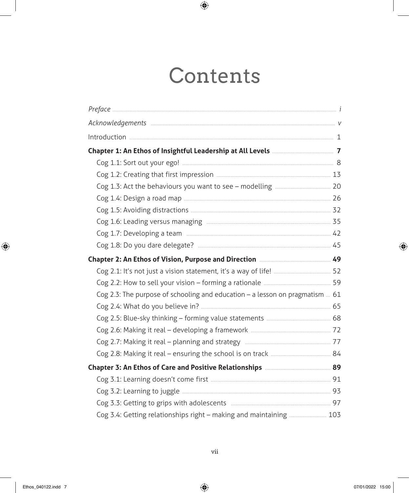# **Contents**

| Chapter 1: An Ethos of Insightful Leadership at All Levels <b>Manual Access 22 Times</b> 7 |  |
|--------------------------------------------------------------------------------------------|--|
|                                                                                            |  |
|                                                                                            |  |
|                                                                                            |  |
|                                                                                            |  |
|                                                                                            |  |
|                                                                                            |  |
|                                                                                            |  |
|                                                                                            |  |
|                                                                                            |  |
|                                                                                            |  |
|                                                                                            |  |
| Cog 2.3: The purpose of schooling and education $-$ a lesson on pragmatism $$ 61           |  |
|                                                                                            |  |
|                                                                                            |  |
|                                                                                            |  |
|                                                                                            |  |
|                                                                                            |  |
|                                                                                            |  |
|                                                                                            |  |
|                                                                                            |  |
|                                                                                            |  |
| Cog 3.4: Getting relationships right - making and maintaining  103                         |  |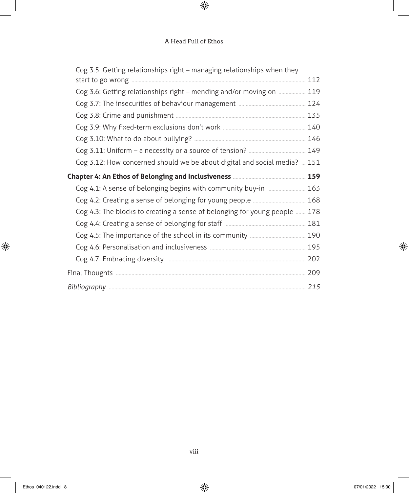| Cog 3.5: Getting relationships right – managing relationships when they   |     |
|---------------------------------------------------------------------------|-----|
|                                                                           | 112 |
| Cog 3.6: Getting relationships right - mending and/or moving on  119      |     |
|                                                                           |     |
|                                                                           | 135 |
|                                                                           |     |
|                                                                           |     |
|                                                                           |     |
| Cog 3.12: How concerned should we be about digital and social media?  151 |     |
|                                                                           |     |
| Cog 4.1: A sense of belonging begins with community buy-in <i></i> 163    |     |
|                                                                           | 168 |
| Cog 4.3: The blocks to creating a sense of belonging for young people     | 178 |
|                                                                           | 181 |
|                                                                           | 190 |
|                                                                           |     |
|                                                                           | 195 |
|                                                                           | 202 |
|                                                                           | 209 |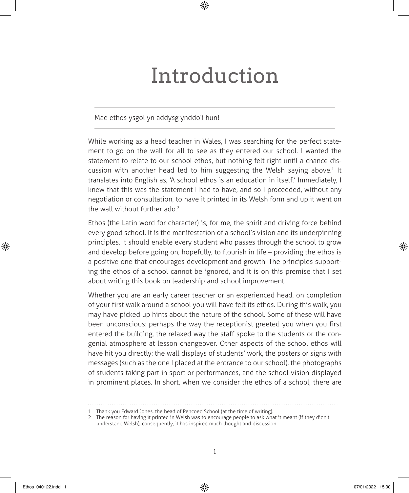# Introduction

#### Mae ethos ysgol yn addysg ynddo'i hun!

While working as a head teacher in Wales, I was searching for the perfect statement to go on the wall for all to see as they entered our school. I wanted the statement to relate to our school ethos, but nothing felt right until a chance discussion with another head led to him suggesting the Welsh saying above.<sup>1</sup> It translates into English as, 'A school ethos is an education in itself.' Immediately, I knew that this was the statement I had to have, and so I proceeded, without any negotiation or consultation, to have it printed in its Welsh form and up it went on the wall without further ado.<sup>2</sup>

Ethos (the Latin word for character) is, for me, the spirit and driving force behind every good school. It is the manifestation of a school's vision and its underpinning principles. It should enable every student who passes through the school to grow and develop before going on, hopefully, to flourish in life – providing the ethos is a positive one that encourages development and growth. The principles supporting the ethos of a school cannot be ignored, and it is on this premise that I set about writing this book on leadership and school improvement.

Whether you are an early career teacher or an experienced head, on completion of your first walk around a school you will have felt its ethos. During this walk, you may have picked up hints about the nature of the school. Some of these will have been unconscious: perhaps the way the receptionist greeted you when you first entered the building, the relaxed way the staff spoke to the students or the congenial atmosphere at lesson changeover. Other aspects of the school ethos will have hit you directly: the wall displays of students' work, the posters or signs with messages (such as the one I placed at the entrance to our school), the photographs of students taking part in sport or performances, and the school vision displayed in prominent places. In short, when we consider the ethos of a school, there are

<sup>1</sup> Thank you Edward Jones, the head of Pencoed School (at the time of writing).

<sup>2</sup> The reason for having it printed in Welsh was to encourage people to ask what it meant (if they didn't understand Welsh); consequently, it has inspired much thought and discussion.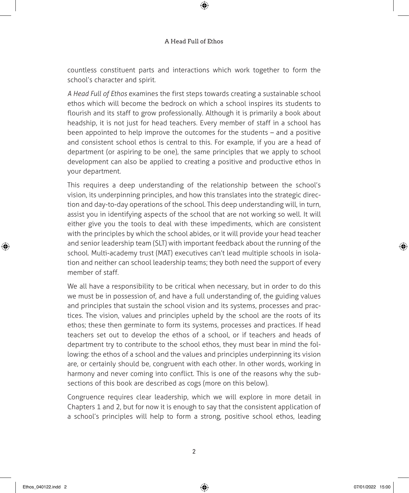countless constituent parts and interactions which work together to form the school's character and spirit.

*A Head Full of Ethos* examines the first steps towards creating a sustainable school ethos which will become the bedrock on which a school inspires its students to flourish and its staff to grow professionally. Although it is primarily a book about headship, it is not just for head teachers. Every member of staff in a school has been appointed to help improve the outcomes for the students – and a positive and consistent school ethos is central to this. For example, if you are a head of department (or aspiring to be one), the same principles that we apply to school development can also be applied to creating a positive and productive ethos in your department.

This requires a deep understanding of the relationship between the school's vision, its underpinning principles, and how this translates into the strategic direction and day-to-day operations of the school. This deep understanding will, in turn, assist you in identifying aspects of the school that are not working so well. It will either give you the tools to deal with these impediments, which are consistent with the principles by which the school abides, or it will provide your head teacher and senior leadership team (SLT) with important feedback about the running of the school. Multi-academy trust (MAT) executives can't lead multiple schools in isolation and neither can school leadership teams; they both need the support of every member of staff.

We all have a responsibility to be critical when necessary, but in order to do this we must be in possession of, and have a full understanding of, the guiding values and principles that sustain the school vision and its systems, processes and practices. The vision, values and principles upheld by the school are the roots of its ethos; these then germinate to form its systems, processes and practices. If head teachers set out to develop the ethos of a school, or if teachers and heads of department try to contribute to the school ethos, they must bear in mind the following: the ethos of a school and the values and principles underpinning its vision are, or certainly should be, congruent with each other. In other words, working in harmony and never coming into conflict. This is one of the reasons why the subsections of this book are described as cogs (more on this below).

Congruence requires clear leadership, which we will explore in more detail in Chapters 1 and 2, but for now it is enough to say that the consistent application of a school's principles will help to form a strong, positive school ethos, leading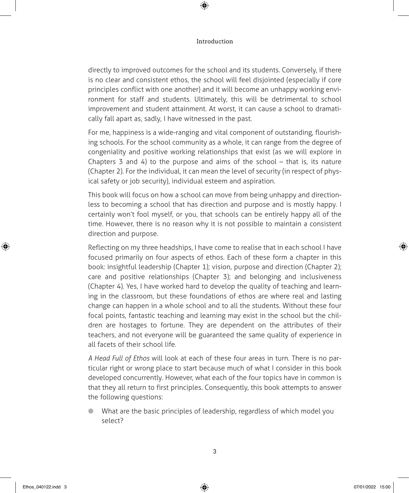directly to improved outcomes for the school and its students. Conversely, if there is no clear and consistent ethos, the school will feel disjointed (especially if core principles conflict with one another) and it will become an unhappy working environment for staff and students. Ultimately, this will be detrimental to school improvement and student attainment. At worst, it can cause a school to dramatically fall apart as, sadly, I have witnessed in the past.

For me, happiness is a wide-ranging and vital component of outstanding, flourishing schools. For the school community as a whole, it can range from the degree of congeniality and positive working relationships that exist (as we will explore in Chapters 3 and 4) to the purpose and aims of the school – that is, its nature (Chapter 2). For the individual, it can mean the level of security (in respect of physical safety or job security), individual esteem and aspiration.

This book will focus on how a school can move from being unhappy and directionless to becoming a school that has direction and purpose and is mostly happy. I certainly won't fool myself, or you, that schools can be entirely happy all of the time. However, there is no reason why it is not possible to maintain a consistent direction and purpose.

Reflecting on my three headships, I have come to realise that in each school I have focused primarily on four aspects of ethos. Each of these form a chapter in this book: insightful leadership (Chapter 1); vision, purpose and direction (Chapter 2); care and positive relationships (Chapter 3); and belonging and inclusiveness (Chapter 4). Yes, I have worked hard to develop the quality of teaching and learning in the classroom, but these foundations of ethos are where real and lasting change can happen in a whole school and to all the students. Without these four focal points, fantastic teaching and learning may exist in the school but the children are hostages to fortune. They are dependent on the attributes of their teachers, and not everyone will be guaranteed the same quality of experience in all facets of their school life.

*A Head Full of Ethos* will look at each of these four areas in turn. There is no particular right or wrong place to start because much of what I consider in this book developed concurrently. However, what each of the four topics have in common is that they all return to first principles. Consequently, this book attempts to answer the following questions:

What are the basic principles of leadership, regardless of which model you select?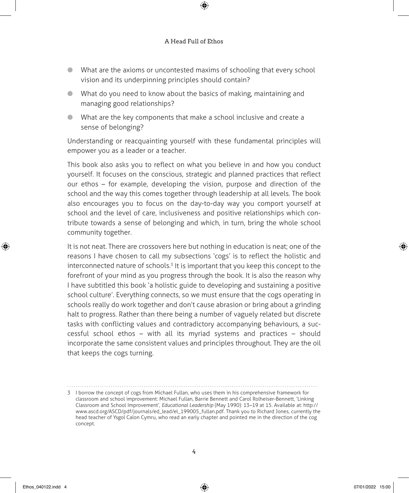- What are the axioms or uncontested maxims of schooling that every school vision and its underpinning principles should contain?
- What do you need to know about the basics of making, maintaining and managing good relationships?
- What are the key components that make a school inclusive and create a sense of belonging?

Understanding or reacquainting yourself with these fundamental principles will empower you as a leader or a teacher.

This book also asks you to reflect on what you believe in and how you conduct yourself. It focuses on the conscious, strategic and planned practices that reflect our ethos – for example, developing the vision, purpose and direction of the school and the way this comes together through leadership at all levels. The book also encourages you to focus on the day-to-day way you comport yourself at school and the level of care, inclusiveness and positive relationships which contribute towards a sense of belonging and which, in turn, bring the whole school community together.

It is not neat. There are crossovers here but nothing in education is neat; one of the reasons I have chosen to call my subsections 'cogs' is to reflect the holistic and interconnected nature of schools. $3$  It is important that you keep this concept to the forefront of your mind as you progress through the book. It is also the reason why I have subtitled this book 'a holistic guide to developing and sustaining a positive school culture'. Everything connects, so we must ensure that the cogs operating in schools really do work together and don't cause abrasion or bring about a grinding halt to progress. Rather than there being a number of vaguely related but discrete tasks with conflicting values and contradictory accompanying behaviours, a successful school ethos – with all its myriad systems and practices – should incorporate the same consistent values and principles throughout. They are the oil that keeps the cogs turning.

<sup>3</sup> I borrow the concept of cogs from Michael Fullan, who uses them in his comprehensive framework for classroom and school improvement: Michael Fullan, Barrie Bennett and Carol Rolheiser-Bennett, 'Linking Classroom and School Improvement', *Educational Leadership* (May 1990): 13–19 at 15. Available at: http:// www.ascd.org/ASCD/pdf/journals/ed\_lead/el\_199005\_fullan.pdf. Thank you to Richard Jones, currently the head teacher of Ysgol Calon Cymru, who read an early chapter and pointed me in the direction of the cog concept.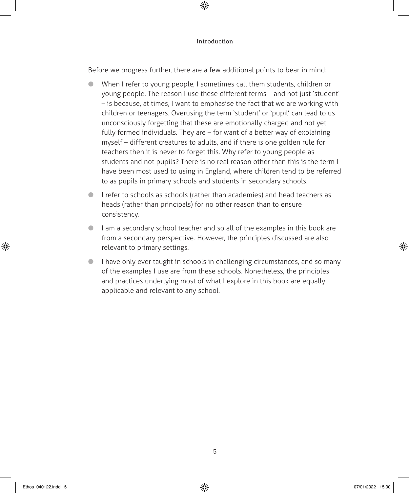#### Introduction

Before we progress further, there are a few additional points to bear in mind:

- When I refer to young people, I sometimes call them students, children or young people. The reason I use these different terms – and not just 'student' – is because, at times, I want to emphasise the fact that we are working with children or teenagers. Overusing the term 'student' or 'pupil' can lead to us unconsciously forgetting that these are emotionally charged and not yet fully formed individuals. They are – for want of a better way of explaining myself – different creatures to adults, and if there is one golden rule for teachers then it is never to forget this. Why refer to young people as students and not pupils? There is no real reason other than this is the term I have been most used to using in England, where children tend to be referred to as pupils in primary schools and students in secondary schools.
- I refer to schools as schools (rather than academies) and head teachers as heads (rather than principals) for no other reason than to ensure consistency.
- I am a secondary school teacher and so all of the examples in this book are from a secondary perspective. However, the principles discussed are also relevant to primary settings.
- I have only ever taught in schools in challenging circumstances, and so many of the examples I use are from these schools. Nonetheless, the principles and practices underlying most of what I explore in this book are equally applicable and relevant to any school.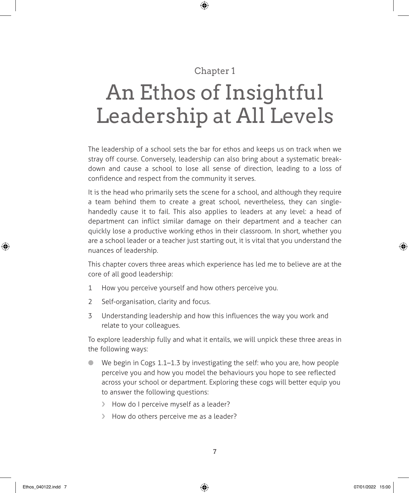### Chapter 1

# An Ethos of Insightful Leadership at All Levels

The leadership of a school sets the bar for ethos and keeps us on track when we stray off course. Conversely, leadership can also bring about a systematic breakdown and cause a school to lose all sense of direction, leading to a loss of confidence and respect from the community it serves.

It is the head who primarily sets the scene for a school, and although they require a team behind them to create a great school, nevertheless, they can singlehandedly cause it to fail. This also applies to leaders at any level: a head of department can inflict similar damage on their department and a teacher can quickly lose a productive working ethos in their classroom. In short, whether you are a school leader or a teacher just starting out, it is vital that you understand the nuances of leadership.

This chapter covers three areas which experience has led me to believe are at the core of all good leadership:

- 1 How you perceive yourself and how others perceive you.
- 2 Self-organisation, clarity and focus.
- 3 Understanding leadership and how this influences the way you work and relate to your colleagues.

To explore leadership fully and what it entails, we will unpick these three areas in the following ways:

- We begin in Cogs 1.1–1.3 by investigating the self: who you are, how people perceive you and how you model the behaviours you hope to see reflected across your school or department. Exploring these cogs will better equip you to answer the following questions:
	- › How do I perceive myself as a leader?
	- › How do others perceive me as a leader?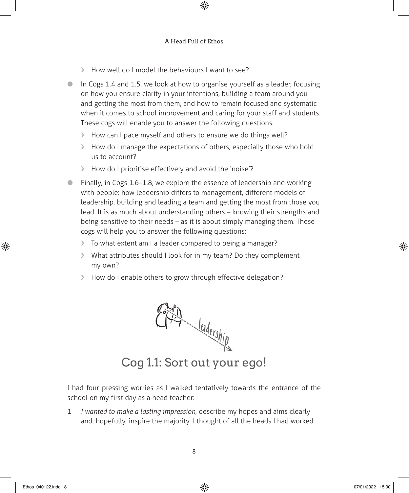- › How well do I model the behaviours I want to see?
- In Cogs 1.4 and 1.5, we look at how to organise yourself as a leader, focusing on how you ensure clarity in your intentions, building a team around you and getting the most from them, and how to remain focused and systematic when it comes to school improvement and caring for your staff and students. These cogs will enable you to answer the following questions:
	- › How can I pace myself and others to ensure we do things well?
	- › How do I manage the expectations of others, especially those who hold us to account?
	- › How do I prioritise effectively and avoid the 'noise'?
- Finally, in Cogs 1.6–1.8, we explore the essence of leadership and working with people: how leadership differs to management, different models of leadership, building and leading a team and getting the most from those you lead. It is as much about understanding others – knowing their strengths and being sensitive to their needs – as it is about simply managing them. These cogs will help you to answer the following questions:
	- › To what extent am I a leader compared to being a manager?
	- › What attributes should I look for in my team? Do they complement my own?
	- › How do I enable others to grow through effective delegation?



Cog 1.1: Sort out your ego!

I had four pressing worries as I walked tentatively towards the entrance of the school on my first day as a head teacher:

1 *I wanted to make a lasting impression*, describe my hopes and aims clearly and, hopefully, inspire the majority. I thought of all the heads I had worked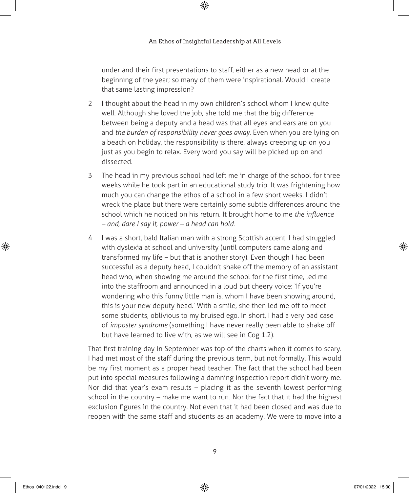under and their first presentations to staff, either as a new head or at the beginning of the year; so many of them were inspirational. Would I create that same lasting impression?

- 2 I thought about the head in my own children's school whom I knew quite well. Although she loved the job, she told me that the big difference between being a deputy and a head was that all eyes and ears are on you and *the burden of responsibility never goes away*. Even when you are lying on a beach on holiday, the responsibility is there, always creeping up on you just as you begin to relax. Every word you say will be picked up on and dissected.
- 3 The head in my previous school had left me in charge of the school for three weeks while he took part in an educational study trip. It was frightening how much you can change the ethos of a school in a few short weeks. I didn't wreck the place but there were certainly some subtle differences around the school which he noticed on his return. It brought home to me *the influence – and, dare I say it, power – a head can hold*.
- 4 I was a short, bald Italian man with a strong Scottish accent. I had struggled with dyslexia at school and university (until computers came along and transformed my life – but that is another story). Even though I had been successful as a deputy head, I couldn't shake off the memory of an assistant head who, when showing me around the school for the first time, led me into the staffroom and announced in a loud but cheery voice: 'If you're wondering who this funny little man is, whom I have been showing around, this is your new deputy head.' With a smile, she then led me off to meet some students, oblivious to my bruised ego. In short, I had a very bad case of *imposter syndrome* (something I have never really been able to shake off but have learned to live with, as we will see in Cog 1.2).

That first training day in September was top of the charts when it comes to scary. I had met most of the staff during the previous term, but not formally. This would be my first moment as a proper head teacher. The fact that the school had been put into special measures following a damning inspection report didn't worry me. Nor did that year's exam results – placing it as the seventh lowest performing school in the country – make me want to run. Nor the fact that it had the highest exclusion figures in the country. Not even that it had been closed and was due to reopen with the same staff and students as an academy. We were to move into a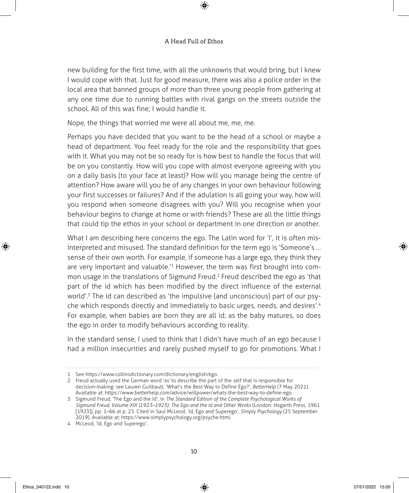new building for the first time, with all the unknowns that would bring, but I knew I would cope with that. Just for good measure, there was also a police order in the local area that banned groups of more than three young people from gathering at any one time due to running battles with rival gangs on the streets outside the school. All of this was fine; I would handle it.

Nope, the things that worried me were all about me, me, me.

Perhaps you have decided that you want to be the head of a school or maybe a head of department. You feel ready for the role and the responsibility that goes with it. What you may not be so ready for is how best to handle the focus that will be on you constantly. How will you cope with almost everyone agreeing with you on a daily basis (to your face at least)? How will you manage being the centre of attention? How aware will you be of any changes in your own behaviour following your first successes or failures? And if the adulation is all going your way, how will you respond when someone disagrees with you? Will you recognise when your behaviour begins to change at home or with friends? These are all the little things that could tip the ethos in your school or department in one direction or another.

What I am describing here concerns the ego. The Latin word for 'I', it is often misinterpreted and misused. The standard definition for the term ego is 'Someone's … sense of their own worth. For example, if someone has a large ego, they think they are very important and valuable.'1 However, the term was first brought into common usage in the translations of Sigmund Freud.2 Freud described the ego as 'that part of the id which has been modified by the direct influence of the external world'.<sup>3</sup> The id can described as 'the impulsive (and unconscious) part of our psyche which responds directly and immediately to basic urges, needs, and desires'.4 For example, when babies are born they are all id; as the baby matures, so does the ego in order to modify behaviours according to reality.

In the standard sense, I used to think that I didn't have much of an ego because I had a million insecurities and rarely pushed myself to go for promotions. What I

<sup>1</sup> See https://www.collinsdictionary.com/dictionary/english/ego.

<sup>2</sup> Freud actually used the German word '*es'* to describe the part of the self that is responsible for decision-making: see Lauren Guilbault, 'What's the Best Way to Define Ego?', *BetterHelp* (7 May 2021). Available at: https://www.betterhelp.com/advice/willpower/whats-the-best-way-to-define-ego.

<sup>3</sup> Sigmund Freud, 'The Ego and the Id', in *The Standard Edition of the Complete Psychological Works of Sigmund Freud, Volume XIX (1923–1925): The Ego and the Id and Other Works* (London: Hogarth Press, 1961 [1923]), pp. 1–66 at p. 25. Cited in Saul McLeod, 'Id, Ego and Superego', *Simply Psychology* (25 September 2019). Available at: https://www.simplypsychology.org/psyche.html.

<sup>4</sup> McLeod, 'Id, Ego and Superego'.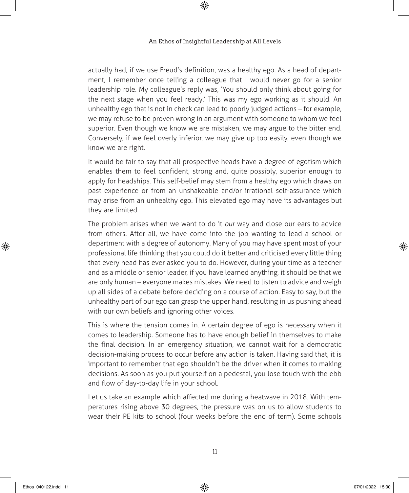actually had, if we use Freud's definition, was a healthy ego. As a head of department, I remember once telling a colleague that I would never go for a senior leadership role. My colleague's reply was, 'You should only think about going for the next stage when you feel ready.' This was my ego working as it should. An unhealthy ego that is not in check can lead to poorly judged actions – for example, we may refuse to be proven wrong in an argument with someone to whom we feel superior. Even though we know we are mistaken, we may argue to the bitter end. Conversely, if we feel overly inferior, we may give up too easily, even though we know we are right.

It would be fair to say that all prospective heads have a degree of egotism which enables them to feel confident, strong and, quite possibly, superior enough to apply for headships. This self-belief may stem from a healthy ego which draws on past experience or from an unshakeable and/or irrational self-assurance which may arise from an unhealthy ego. This elevated ego may have its advantages but they are limited.

The problem arises when we want to do it *our* way and close our ears to advice from others. After all, we have come into the job wanting to lead a school or department with a degree of autonomy. Many of you may have spent most of your professional life thinking that you could do it better and criticised every little thing that every head has ever asked you to do. However, during your time as a teacher and as a middle or senior leader, if you have learned anything, it should be that we are only human – everyone makes mistakes. We need to listen to advice and weigh up all sides of a debate before deciding on a course of action. Easy to say, but the unhealthy part of our ego can grasp the upper hand, resulting in us pushing ahead with our own beliefs and ignoring other voices.

This is where the tension comes in. A certain degree of ego is necessary when it comes to leadership. Someone has to have enough belief in themselves to make the final decision. In an emergency situation, we cannot wait for a democratic decision-making process to occur before any action is taken. Having said that, it is important to remember that ego shouldn't be the driver when it comes to making decisions. As soon as you put yourself on a pedestal, you lose touch with the ebb and flow of day-to-day life in your school.

Let us take an example which affected me during a heatwave in 2018. With temperatures rising above 30 degrees, the pressure was on us to allow students to wear their PE kits to school (four weeks before the end of term). Some schools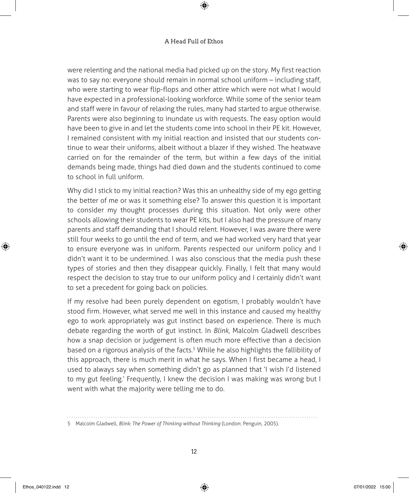were relenting and the national media had picked up on the story. My first reaction was to say no: everyone should remain in normal school uniform – including staff, who were starting to wear flip-flops and other attire which were not what I would have expected in a professional-looking workforce. While some of the senior team and staff were in favour of relaxing the rules, many had started to argue otherwise. Parents were also beginning to inundate us with requests. The easy option would have been to give in and let the students come into school in their PE kit. However, I remained consistent with my initial reaction and insisted that our students continue to wear their uniforms, albeit without a blazer if they wished. The heatwave carried on for the remainder of the term, but within a few days of the initial demands being made, things had died down and the students continued to come to school in full uniform.

Why did I stick to my initial reaction? Was this an unhealthy side of my ego getting the better of me or was it something else? To answer this question it is important to consider my thought processes during this situation. Not only were other schools allowing their students to wear PE kits, but I also had the pressure of many parents and staff demanding that I should relent. However, I was aware there were still four weeks to go until the end of term, and we had worked very hard that year to ensure everyone was in uniform. Parents respected our uniform policy and I didn't want it to be undermined. I was also conscious that the media push these types of stories and then they disappear quickly. Finally, I felt that many would respect the decision to stay true to our uniform policy and I certainly didn't want to set a precedent for going back on policies.

If my resolve had been purely dependent on egotism, I probably wouldn't have stood firm. However, what served me well in this instance and caused my healthy ego to work appropriately was gut instinct based on experience. There is much debate regarding the worth of gut instinct. In *Blink*, Malcolm Gladwell describes how a snap decision or judgement is often much more effective than a decision based on a rigorous analysis of the facts.<sup>5</sup> While he also highlights the fallibility of this approach, there is much merit in what he says. When I first became a head, I used to always say when something didn't go as planned that 'I wish I'd listened to my gut feeling.' Frequently, I knew the decision I was making was wrong but I went with what the majority were telling me to do.

<sup>5</sup> Malcolm Gladwell, *Blink: The Power of Thinking without Thinking* (London: Penguin, 2005).